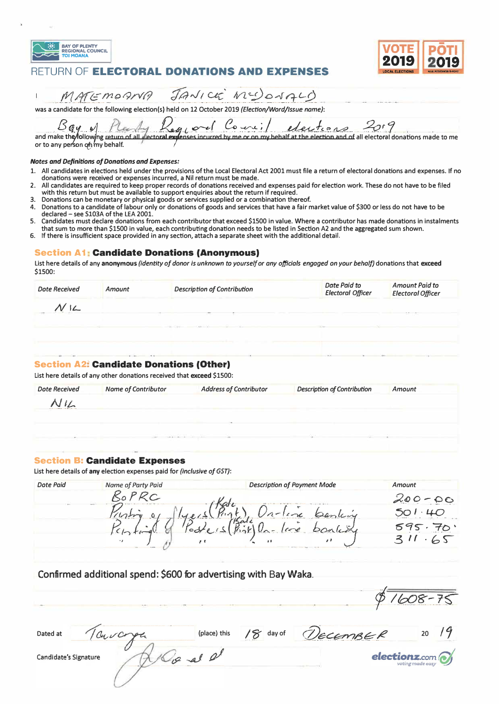





MATEMORINA JANICE MUDONALO  $\begin{array}{c} \rule{0pt}{2.5ex} \rule{0pt}{2.5ex} \rule{0pt}{2.5ex} \rule{0pt}{2.5ex} \rule{0pt}{2.5ex} \rule{0pt}{2.5ex} \rule{0pt}{2.5ex} \rule{0pt}{2.5ex} \rule{0pt}{2.5ex} \rule{0pt}{2.5ex} \rule{0pt}{2.5ex} \rule{0pt}{2.5ex} \rule{0pt}{2.5ex} \rule{0pt}{2.5ex} \rule{0pt}{2.5ex} \rule{0pt}{2.5ex} \rule{0pt}{2.5ex} \rule{0pt}{2.5ex} \rule{0pt}{2.5ex} \rule{0$ 

was a candidate for the following election(s) held on 12 October 2019 (Election/Word/Issue name):

Bay of Planty Regional Courtil electric as 2019<br>and make the following return of all dectoral expenses incurred by me or on my behalf at the electron and of all electoral donations made to me<br>or to any person of my behalf.

#### **Notes and Definitions of Donations and Expenses:**

- 1. All candidates in elections held under the provisions of the Local Electoral Act 2001 must file a return of electoral donations and expenses. If no donations were received or expenses incurred, a Nil return must be made.
- All candidates are required to keep proper records of donations received and expenses paid for election work. These do not have to be filed  $\overline{2}$ with this return but must be available to support enquiries about the return if required.
- Donations can be monetary or physical goods or services supplied or a combination thereof.
- Donations to a candidate of labour only or donations of goods and services that have a fair market value of \$300 or less do not have to be 4. declared - see S103A of the LEA 2001.
- Candidates must declare donations from each contributor that exceed \$1500 in value. Where a contributor has made donations in instalments 5. that sum to more than \$1500 in value, each contributing donation needs to be listed in Section A2 and the aggregated sum shown.
- 6. If there is insufficient space provided in any section, attach a separate sheet with the additional detail.

#### **Section A1: Candidate Donations (Anonymous)**

List here details of any anonymous (identity of donor is unknown to yourself or any officials engaged on your behalf) donations that exceed \$1500:

| <b>Dote Received</b> | Amount | <b>Description of Contribution</b> | Date Paid to<br><b>Electoral Officer</b> | <b>Amount Paid to</b><br><b>Electoral Officer</b> |
|----------------------|--------|------------------------------------|------------------------------------------|---------------------------------------------------|
|                      |        |                                    |                                          |                                                   |
|                      |        |                                    | <b>United</b>                            |                                                   |
|                      |        |                                    |                                          |                                                   |

#### **Section A2: Candidate Donations (Other)**

List here details of any other donations received that exceed \$1500:

| <b>Dote Received</b> | <b>Nome of Contributor</b> | <b>Address of Contributor</b> | <b>Description of Contribution</b> | Amount |
|----------------------|----------------------------|-------------------------------|------------------------------------|--------|
| NIL                  |                            |                               |                                    |        |
|                      |                            |                               |                                    |        |
|                      |                            |                               |                                    |        |

### **Section B: Candidate Expenses**

List here details of any election expenses paid for (inclusive of GST):

| <b>Dote Paid</b> | Name of Party Paid | <b>Description of Payment Mode</b> | Amount  |
|------------------|--------------------|------------------------------------|---------|
|                  |                    |                                    | $-00$   |
|                  | <b>Company</b>     |                                    | $\iota$ |
|                  |                    | $\frac{1}{2}$ all<br>$\mathbf{C}$  | cay     |
|                  |                    | $^{\prime}$                        | റ3      |

## Confirmed additional spend: \$600 for advertising with Bay Waka.

| Dated at              | (place) this | 8 <sup>2</sup><br>day of | ECEMBER | 20                                             |
|-----------------------|--------------|--------------------------|---------|------------------------------------------------|
| Candidate's Signature |              |                          |         | $\mathbf{elections}_{\text{voting made easy}}$ |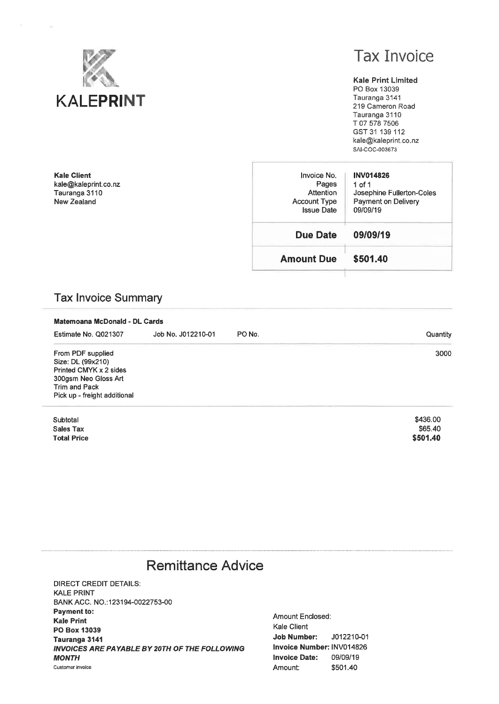

**Kale Client** 

kale@kaleprint.co.nz Tauranga 3110 New Zealand

**Tax Invoice** 

#### **Kale Print Limited**

PO Box 13039 Tauranga 3141 219 Cameron Road Tauranga 3110 T 07 578 7506 GST 31 139 112 kale@kaleprint.co.nz SAI-COC-003673

\$501.40

| Invoice No.<br>Pages<br>Attention<br><b>Account Type</b><br><b>Issue Date</b> | <b>INV014826</b><br>1 of 1<br>Josephine Fullerton-Coles<br>Payment on Delivery<br>09/09/19 |
|-------------------------------------------------------------------------------|--------------------------------------------------------------------------------------------|
| <b>Due Date</b>                                                               | 09/09/19                                                                                   |
| <b>Amount Due</b>                                                             | \$501.40                                                                                   |
|                                                                               |                                                                                            |

## **Tax Invoice Summary**

| Matemoana McDonald - DL Cards                                                                                                             |                    |        |                     |  |  |
|-------------------------------------------------------------------------------------------------------------------------------------------|--------------------|--------|---------------------|--|--|
| Estimate No. Q021307                                                                                                                      | Job No. J012210-01 | PO No. | Quantity            |  |  |
| From PDF supplied<br>Size: DL (99x210)<br>Printed CMYK x 2 sides<br>300gsm Neo Gloss Art<br>Trim and Pack<br>Pick up - freight additional |                    |        | 3000                |  |  |
| Subtotal<br>Sales Tax                                                                                                                     |                    |        | \$436.00<br>\$65.40 |  |  |

Sales Tax **Total Price** 

# **Remittance Advice**

**DIRECT CREDIT DETAILS: KALE PRINT** BANK ACC. NO.:123194-0022753-00 **Payment to: Kale Print** PO Box 13039 Tauranga 3141 INVOICES ARE PAYABLE BY 20TH OF THE FOLLOWING **MONTH** Customer invoice

Amount Enclosed: Kale Client **Job Number:** J012210-01 Invoice Number: INV014826 **Invoice Date:** 09/09/19 \$501.40 Amount: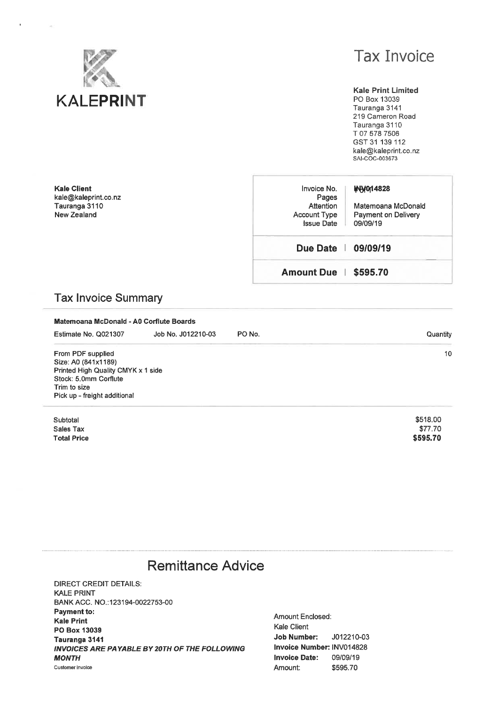

# **Tax Invoice**

**Kale Print Limited** PO Box 13039 Tauranga 3141 219 Cameron Road Tauranga 3110 T 07 578 7506 GST 31 139 112 kale@kaleprint.co.nz SAI-COC-003673

**Kale Client** kale@kaleprint.co.nz Tauranga 3110 New Zealand

| Invoice No.<br>Pages<br>Attention<br><b>Account Type</b><br><b>Issue Date</b> | <b>WW014828</b><br>Matemoana McDonald<br>Payment on Delivery<br>09/09/19 |
|-------------------------------------------------------------------------------|--------------------------------------------------------------------------|
| Due Date   09/09/19                                                           |                                                                          |
| Amount Due   \$595.70                                                         |                                                                          |

## **Tax Invoice Summary**

| Matemoana McDonald - A0 Corflute Boards                                                                                                                 |          |
|---------------------------------------------------------------------------------------------------------------------------------------------------------|----------|
| Job No. J012210-03                                                                                                                                      | PO No.   |
| Estimate No. Q021307                                                                                                                                    | Quantity |
| From PDF supplied<br>Size: A0 (841x1189)<br>Printed High Quality CMYK x 1 side<br>Stock: 5.0mm Corflute<br>Trim to size<br>Pick up - freight additional | 10       |
| Subtotal                                                                                                                                                | \$518,00 |
| Sales Tax                                                                                                                                               | \$77.70  |
| <b>Total Price</b>                                                                                                                                      | \$595.70 |

# **Remittance Advice**

**DIRECT CREDIT DETAILS: KALE PRINT** BANK ACC. NO.:123194-0022753-00 Payment to: **Kale Print** PO Box 13039 Tauranga 3141 INVOICES ARE PAYABLE BY 20TH OF THE FOLLOWING **MONTH** Customer invoice

Amount Enclosed: Kale Client **Job Number:** J012210-03 Invoice Number: INV014828 **Invoice Date:** 09/09/19 \$595.70 Amount: